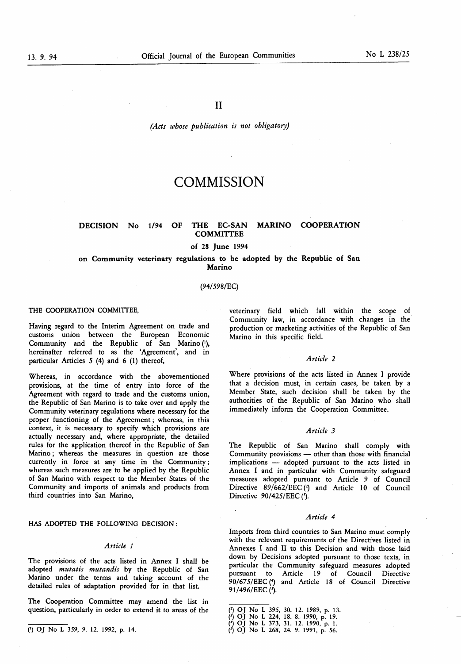(Acts whose publication is not obligatory)

# **COMMISSION**

# DECISION No 1/94 OF THE EC-SAN MARINO COOPERATION COMMITTEE

# of 28 June 1994

# on Community veterinary regulations to be adopted by the Republic of San Marino

# (94/59 8/EC)

# THE COOPERATION COMMITTEE,

Having regard to the Interim Agreement on trade and customs union between the European Economic Community and the Republic of San Marino ('), hereinafter referred to as the 'Agreement', and in particular Articles  $5(4)$  and  $6(1)$  thereof,

Whereas, in accordance with the abovementioned provisions, at the time of entry into force of the Agreement with regard to trade and the customs union, the Republic of San Marino is to take over and apply the Community veterinary regulations where necessary for the proper functioning of the Agreement ; whereas, in this context, it is necessary to specify which provisions are actually necessary and, where appropriate, the detailed rules for the application thereof in the Republic of San Marino ; whereas the measures in question are those currently in force at any time in the Community ; whereas such measures are to be applied by the Republic of San Marino with respect to the Member States of the Community and imports of animals and products from third countries into San Marino,

HAS ADOPTED THE FOLLOWING DECISION :

### Article <sup>1</sup>

The provisions of the acts listed in Annex I shall be adopted mutatis mutandis by the Republic of San Marino under the terms and taking account of the detailed rules of adaptation provided for in that list.

The Cooperation Committee may amend the list in question, particularly in order to extend it to areas of the (2) OJ No L 395, 30. 12. 1989, p. 13.

veterinary field which fall within the scope of Community law, in accordance with changes in the production or marketing activities of the Republic of San Marino in this specific field.

# Article 2

Where provisions of the acts listed in Annex I provide that a decision must, in certain cases, be taken by a Member State, such decision shall be taken by the authorities of the Republic of San Marino who shall immediately inform the Cooperation Committee.

# Article 3

The Republic of San Marino shall comply with Community provisions — other than those with financial implications — adopted pursuant to the acts listed in Annex I and in particular with Community safeguard measures adopted pursuant to Article 9 of Council Directive 89/662/EEC (2) and Article 10 of Council Directive 90/425/EEC (3).

# Article 4

Imports from third countries to San Marino must comply with the relevant requirements of the Directives listed in Annexes I and II to this Decision and with those laid down by Decisions adopted pursuant to those texts, in particular the Community safeguard measures adopted pursuant to Article 19 of Council Directive 90/675/EEC (4) and Article 18 of Council Directive 91/496/EEC (5).

<sup>(3)</sup> OJ No L 224, 18 . 8 . 1990, p. 19. (\*) OJ No L 373, 31. 12. 1990, p. 1.

<sup>(&#</sup>x27;) OJ No L 359, 9. 12. 1992, p. 14. ((2) OJ No L 268, 24. 9. 1991, p. 56.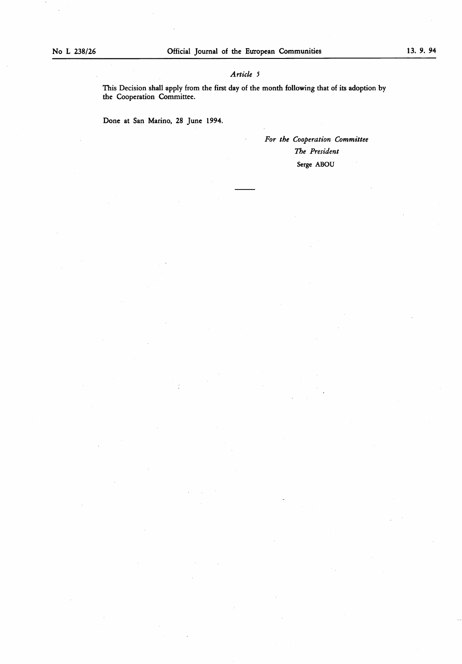# Article 5

This Decision shall apply from the first day of the month following that of its adoption by the Cooperation Committee.

Done at San Marino, 28 June 1994.

For the Cooperation Committee The President Serge ABOU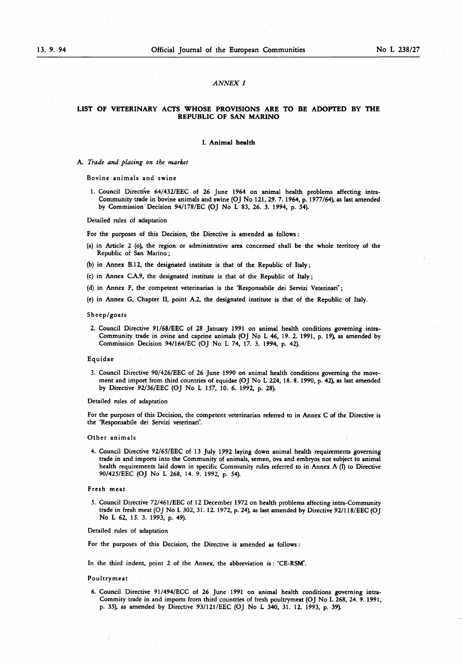# ANNEX I

# LIST OF VETERINARY ACTS WHOSE PROVISIONS ARE TO BE ADOPTED BY THE REPUBLIC OF SAN MARINO

# I. Animal health

A. Trade and placing on the market

Bovine animals and swine

<sup>1</sup> . Council Directive 64/432/EEC of 26 June 1964 on animal health problems affecting intra-Community trade in bovine animals and swine (OJ No 121, 29. 7. 1964, p. 1977/64), as last amended by Commission Decision 94/178/EC (OJ No L 83, 26. 3. 1994, p. 54).

Detailed rules of adaptation

For the purposes of this Decision, the Directive is amended as follows :

- (a) in Article 2 (o), the region or administrative area concerned shall be the whole territory of the Republic of San Marino ;
- (b) in Annex B.12, the designated institute is that of the Republic of Italy ;
- (c) in Annex CAS, the designated institute is that of the Republic of Italy ;
- (d) in Annex F, the competent veterinarian is the 'Responsabile dei Servizi Veterinari' ;
- (e) in Annex G, Chapter II, point A.2, the designated institute is that of the Republic of Italy.

# Sheep/goats

2. Council Directive 91 /68/EEC of 28 January 1991 on animal health conditions governing intra-Community trade in ovine and caprine animals (OJ No L 46, 19. 2. 1991, p. 19), as amended by Commission Decision 94/164/EC (OJ No L 74, 17. 3. 1994, p. 42).

# Equidae

3. Council Directive 90/426/EEC of 26 June 1990 on animal health conditions governing the movement and import from third countries of equidae (OJ No L 224, 18. 8. 1990, p. 42), as last amended by Directive 92/36/EEC (OJ No <sup>L</sup> 157, 10. 6. 1992, p. 28).

Detailed rules of adaptation

For the purposes of this Decision, the competent veterinarian referred to in Annex C of the Directive is the 'Responsabile dei Servizi veterinari .

#### Other animals

4. Council Directive 92/65/EEC of 13 July 1992 laying down animal health requirements governing trade in and imports into the Community of animals, semen, ova and embryos not subject to animal health requirements laid down in specific Community rules referred to in Annex A (I) to Directive 90/425/EEC (OJ No <sup>L</sup> 268, 14. 9. 1992, p. 54).

# Fresh meat

5. Council Directive 72/461 /EEC of 12 December 1972 on health problems affecting intra-Community trade in fresh meat (OJ No L 302, <sup>31</sup> . 12. 1972, p. 24), as last amended by Directive 92/1 18/EEC (OJ No L 62, 15. 3. 1993, p. 49).

Detailed rules of adaptation

For the purposes of this Decision, the Directive is amended as follows :

In the third indent, point 2 of the Annex, the abbreviation is : 'CE-RSM'.

# Poultrymeat

6. Council Directive <sup>91</sup> /494/ECC of 26 June <sup>1991</sup> on animal health conditions governing intra-Commity trade in and imports from third countries of fresh poultrymeat (OJ No L 268, 24. 9. 1991, p. 35), as amended by Directive 93/121/EEC (OJ No L 340, 31. 12. 1993, p. 39).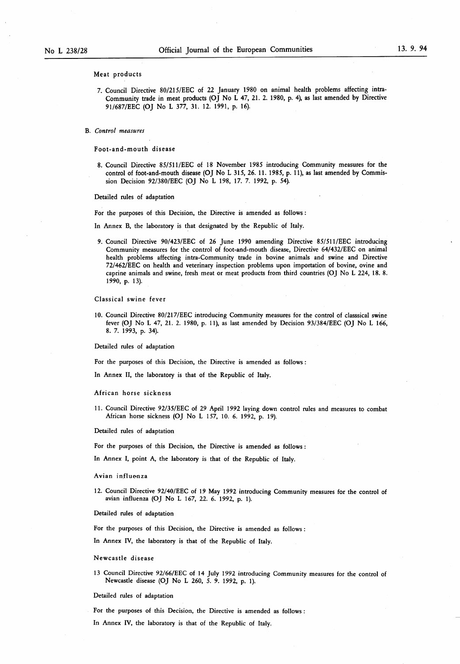Meat products

7. Council Directive 80/21 5/EEC of 22 January 1980 on animal health problems affecting intra-Community trade in meat products (OJ No L 47, 21 . 2. 1980, p. 4), as last amended by Directive 91/687/EEC (OJ No L 377, 31. 12. 1991, p. 16).

B. Control measures

Foot-and-mouth disease

8. Council Directive 85/511/EEC of 18 November 1985 introducing Community measures for the control of foot-and-mouth disease (OJ No L 315, 26. 11. 1985, p. 11), as last amended by Commission Decision 92/380/EEC (OJ No L 198, 17. 7. 1992, p. 54).

Detailed rules of adaptation

For the purposes of this Decision, the Directive is amended as follows :

In Annex B, the laboratory is that designated by the Republic of Italy.

9. Council Directive 90/423/EEC of 26 June 1990 amending Directive 85/511/EEC introducing Community measures for the control of foot-and-mouth disease, Directive 64/432/EEC on animal health problems affecting intra-Community trade in bovine animals and swine and Directive 72/462/EEC on health and veterinary inspection problems upon importation of bovine, ovine and caprine animals and swine, fresh meat or meat products from third countries (OJ No L 224, 18. 8. 1990, p. 13).

Classical swine fever

10. Council Directive 80/217/EEC introducing Community measures for the control of classsical swine fever (OJ No L 47, <sup>21</sup> . 2. 1980, p. <sup>11</sup> ), as last amended by Decision 93/384/EEC (OJ No <sup>L</sup> 166, 8 . 7. 1993, p. 34).

Detailed rules of adaptation

For the purposes of this Decision, the Directive is amended as follows :

In Annex II, the laboratory is that of the Republic of Italy.

#### African horse sickness

<sup>11</sup> . Council Directive 92/35/EEC of 29 April 1992 laying down control rules and measures to combat African horse sickness (OJ No L 157, 10. 6. 1992, p. 19).

Detailed rules of adaptation

For the purposes of this Decision, the Directive is amended as follows :

In Annex I, point A, the laboratory is that of the Republic of Italy.

### Avian influenza

12. Council Directive 92/40/EEC of <sup>19</sup> May 1992 introducing Community measures for the control of avian influenza (OJ No L 167, 22. 6. 1992, p. 1).

# Detailed rules of adaptation

For the purposes of this Decision, the Directive is amended as follows :

In Annex IV, the laboratory is that of the Republic of Italy.

Newcastle disease

13 Council Directive 92/66/EEC of 14 July 1992 introducing Community measures for the control of Newcastle disease (OJ No L 260, 5. 9. 1992, p. <sup>1</sup> ).

Detailed rules of adaptation

For the purposes of this Decision, the Directive is amended as follows :

In Annex IV, the laboratory is that of the Republic of Italy.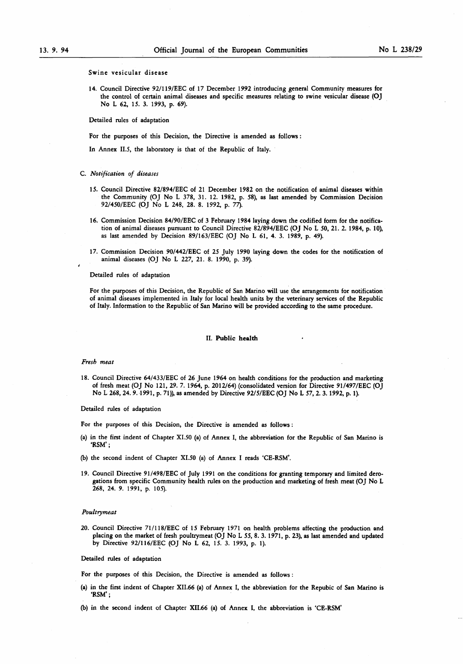#### Swine vesicular disease

14. Council Directive 92/119/EEC of 17 December 1992 introducing general Community measures for the control of certain animal diseases and specific measures relating to swine vesicular disease (OJ No L 62, 15. 3. 1993, p. 69).

Detailed rules of adaptation

For the purposes of this Decision, the Directive is amended as follows :

In Annex II.5, the laboratory is that of the Republic of Italy.

# C. Notification of diseases

- 15. Council Directive 82/894/EEC of <sup>21</sup> December 1982 on the notification of animal diseases within the Community (OJ No L 378, 31 . 12. 1982, p. 58), as last amended by Commission Decision 92/450/EEC (OJ No L 248, 28. <sup>8</sup> . 1992, p. 77).
- 16. Commission Decision 84/90/EEC of <sup>3</sup> February 1984 laying down the codified form for the notification of animal diseases pursuant to Council Directive 82/894/EEC (OJ No <sup>L</sup> 50, <sup>21</sup> . 2. 1984, p. 10), as last amended by Decision 89/163/EEC (OJ No L 61, 4. 3. 1989, p. 49).
- 17. Commission Decision 90/442/EEC of 25 July 1990 laying down the codes for the notification of animal diseases (OJ No L 227, 21. 8. 1990, p. 39).

# Detailed rules of adaptation

For the purposes of this Decision, the Republic of San Marino will use the arrangements for notification of animal diseases implemented in Italy for local health units by the veterinary services of the Republic of Italy. Information to the Republic of San Marino will be provided according to the same procedure.

# II. Public health

# Fresh meat

i

<sup>18</sup> . Council Directive 64/433/EEC of 26 June 1964 on health conditions for the production and marketing of fresh meat (OJ No 121, 29. 7. 1964, p. 2012/64) (consolidated version for Directive 91/497/EEC (OJ No L 268, 24. 9. 1991, p. 71)), as amended by Directive 92/5/EEC (OJ No L 57, 2. 3. 1992, p. 1).

Detailed rules of adaptation

For the purposes of this Decision, the Directive is amended as follows :

- (a) in the first indent of Chapter XI.50 (a) of Annex I, the abbreviation for the Republic of San Marino is 'RSM' ;
- (b) the second indent of Chapter XI.50 (a) of Annex I reads 'CE-RSM'.
- 19. Council Directive <sup>91</sup> /498/EEC of July 1991 on the conditions for granting temporary and limited derogations from specific Community health rules on the production and marketing of fresh meat (OJ No L 268, 24. 9. 1991, p. 105).

# Poultrymeat

20. Council Directive 71/118/EEC of 15 February 1971 on health problems affecting the production and placing on the market of fresh poultrymeat (OJ No L 55, 8 . 3. 1971 , p. 23), as last amended and updated by Directive 92/116/EEC (OJ No L 62, 15. 3. 1993, p. 1).

# Detailed rules of adaptation

For the purposes of this Decision, the Directive is amended as follows :

(a) in the first indent of Chapter XII.66 (a) of Annex I, the abbreviation for the Repubic of San Marino is «RSM' ;

(b) in the second indent of Chapter XII.66 (a) of Annex I, the abbreviation is 'CE-RSM'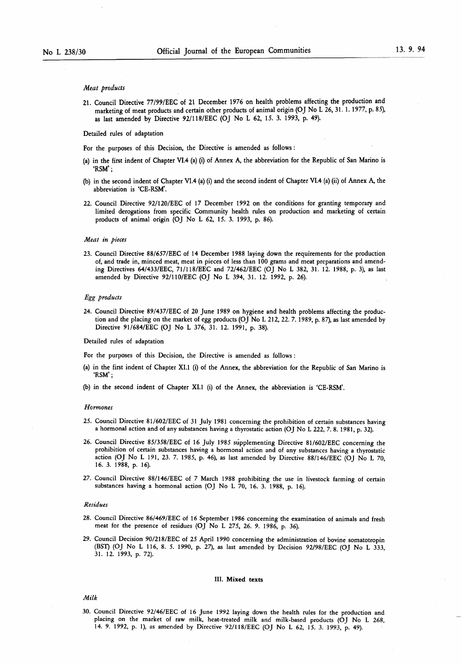#### Meat products

21 . Council Directive 77/99/EEC of 21 December 1976 on health problems affecting the production and marketing of meat products and certain other products of animal origin (OJ No L 26, 31. 1. 1977, p. 85), as last amended by Directive 92/118/EEC (OJ No L 62, 15. 3. 1993, p. 49).

# Detailed rules of adaptation

For the purposes of this Decision, the Directive is amended as follows :

- (a) in the first indent of Chapter VI.4 (a) (i) of Annex A, the abbreviation for the Republic of San Marino is 'RSM' ;
- (b) in the second indent of Chapter VI.4 (a) (i) and the second indent of Chapter VI.4 (a) (ii) of Annex A, the abbreviation is 'CE-RSM'.
- 22. Council Directive 92/120/EEC of 17 December 1992 on the conditions for granting temporary and limited derogations from specific Community health rules on production and marketing of certain products of animal origin (OJ No L 62, 15. 3. 1993, p. 86).

# Meat in pieces

23. Council Directive 88/657/EEC of 14 December 1988 laying down the requirements for the production of, and trade in, minced meat, meat in pieces of less than 100 grams and meat preparations and amending Directives 64/433/EEC, 71/118/EEC and 72/462/EEC (OJ No L 382, 31. 12. 1988, p. 3), as last amended by Directive 92/110/EEC (OJ No <sup>L</sup> 394, <sup>31</sup> . 12. 1992, p. 26).

# Egg products

24. Council Directive 89/437/EEC of 20 June 1989 on hygiene and health problems affecting the production and the placing on the market of egg products (OJ No L 212, 22. 7. 1989, p. 87), as last amended by Directive 91/684/EEC (OJ No L 376, 31. 12. 1991, p. 38).

#### Detailed rules of adaptation

For the purposes of this Decision, the Directive is amended as follows :

- (a) in the first indent of Chapter XI. <sup>1</sup> (i) of the Annex, the abbreviation for the Republic of San Marino is 'RSM' ;
- (b) in the second indent of Chapter XI.1 (i) of the Annex, the abbreviation is 'CE-RSM'.

#### **Hormones**

- 25. Council Directive 81/602/EEC of 31 July 1981 concerning the prohibition of certain substances having a hormonal action and of any substances having a thyrostatic action (OJ No L 222, 7. 8 . 1981 , p. 32).
- 26. Council Directive 85/358/EEC of 16 July 1985 supplementing Directive <sup>81</sup> /602/EEC concerning the prohibition of certain substances having a hormonal action and of any substances having a thyrostatic action (OJ No L 191, 23. 7. 1985, p. 46), as last amended by Directive 88/146/EEC (OJ No L 70, 16. 3. 1988, p. 16).
- 27. Council Directive 88/146/EEC of 7 March 1988 prohibiting the use in livestock farming of certain substances having a hormonal action (OJ No L 70, 16. 3. 1988, p. 16).

#### Residues

- 28. Council Directive 86/469/EEC of 16 September 1986 concerning the examination of animals and fresh meat for the presence of residues (OJ No L 275, 26. 9. 1986, p. 36).
- 29. Council Decision 90/21 8/EEC of 25 April 1990 concerning the administration of bovine somatotropin (BST) (OJ No L 116, 8. 5. 1990, p. 27), as last amended by Decision 92/98/EEC (OJ No L 333, 31 . 12. 1993, p. 72).

# III. Mixed texts

# Milk

30. Council Directive 92/46/EEC of 16 June 1992 laying down the health rules for the production and placing on the market of raw milk, heat-treated milk and milk-based products (OJ No L 268, 14. 9. 1992, p. 1), as amended by Directive 92/118/EEC (OJ No L 62, 15. 3. 1993, p. 49).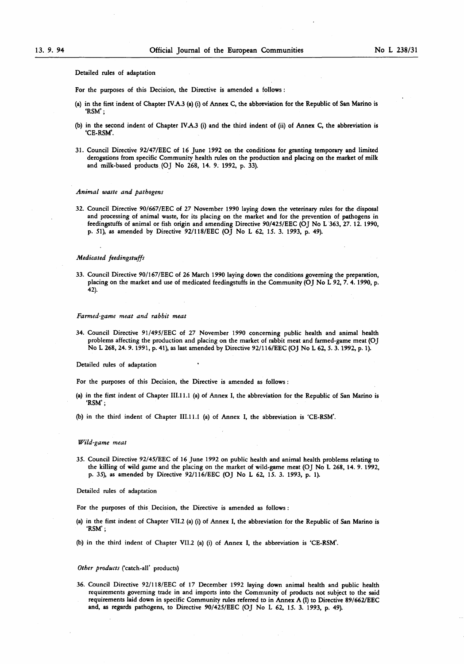Detailed rules of adaptation

For the purposes of this Decision, the Directive is amended a follows :

- (a) in the first indent of Chapter IVA.3 (a) (i) of Annex C, the abbreviation for the Republic of San Marino is 'RSM' ;
- (b) in the second indent of Chapter IVA.3 (i) and the third indent of (ii) of Annex C, the abbreviation is 'CE-RSM'.
- <sup>31</sup> . Council Directive 92/47/EEC of <sup>16</sup> June 1992 on the conditions for granting temporary and limited derogations from specific Community health rules on the production and placing on the market of milk and milk-based products (OJ No 268, 14. 9. 1992, p. 33).

#### Animal waste and pathogens

32. Council Directive 90/667/EEC of 27 November 1990 laying down the veterinary rules for the disposal and processing of animal waste, for its placing on the market and for the prevention of pathogens in feedingstuffs of animal or fish origin and amending Directive 90/425/EEC (OJ No L 363, 27. 12. 1990, p. 51), as amended by Directive 92/118/EEC (OJ No L 62, 15. 3. 1993, p. 49).

# Medicated feedingstuffs

33. Council Directive 90/167/EEC of 26 March 1990 laying down the conditions governing the preparation, placing on the market and use of medicated feedingstuffs in the Community (OJ No L 92, 7. 4. 1990, p. 42).

# Farmed-game meat and rabbit meat

34. Council Directive <sup>91</sup> /495/EEC of 27 November 1990 concerning public health and animal health problems affecting the production and placing on the market of rabbit meat and farmed-game meat (OJ No L 268, 24. 9. 1991 , p. 41 ), as last amended by Directive 92/ 116/EEC (OJ No L 62, 5. 3. 1992, p. <sup>1</sup> ).

#### Detailed rules of adaptation

For the purposes of this Decision, the Directive is amended as follows :

(a) in the first indent of Chapter III.ll.l (a) of Annex I, the abbreviation for the Republic of San Marino is 'RSM' ;

(b) in the third indent of Chapter III.ll.l (a) of Annex I, the abbreviation is 'CE-RSM'.

#### Wild-game meat

35. Council Directive 92/45/EEC of <sup>16</sup> June 1992 on public health and animal health problems relating to the killing of wild game and the placing on the market of wild-game meat (OJ No L 268, 14. 9. 1992, p. 35), as amended by Directive 92/116/EEC (OJ No L 62, 15. 3. 1993, p. 1).

Detailed rules of adaptation

For the purposes of this Decision, the Directive is amended as follows :

- (a) in the first indent of Chapter VII.2 (a) (i) of Annex I, the abbreviation for the Republic of San Marino is 'RSM' ;
- (b) in the third indent of Chapter VII.2 (a) (i) of Annex I, the abbreviation is 'CE-RSM'.

# Other products ('catch-all' products)

36. Council Directive 92/118/EEC of 17 December 1992 laying down animal health and public health requirements governing trade in and imports into the Community of products not subject to the said requirements laid down in specific Community rules referred to in Annex A (I) to Directive 89/662/EEC and, as regards pathogens, to Directive 90/425/EEC (OJ No <sup>L</sup> 62, 15. 3. 1993, p. 49).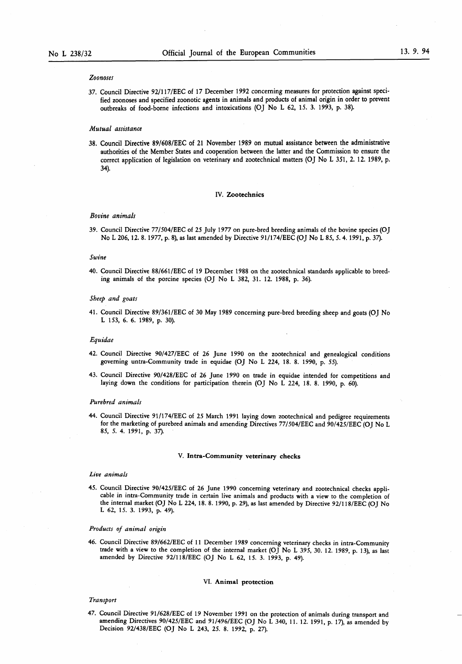# Zoonoses

37. Council Directive 92/117/EEC of 17 December 1992 concerning measures for protection against specified zoonoses and specified zoonotic agents in animals and products of animal origin in order to prevent outbreaks of food-borne infections and intoxications (OJ No L 62, 15. 3. 1993, p. 38).

# Mutual assistance

38 . Council Directive 89/608/EEC of <sup>21</sup> November 1989 on mutual assistance between the administrative authorities of the Member States and cooperation between the latter and the Commission to ensure the correct application of legislation on veterinary and zootechnical matters (OJ No L 351, 2. 12. 1989, p. 34).

# IV. Zootechnics

# Bovine animals

39. Council Directive 77/504/EEC of 25 July 1977 on pure-bred breeding animals of the bovine species (OJ No L 206, 12. 8. 1977, p. 8), as last amended by Directive 91/174/EEC (OJ No L 85, 5. 4. 1991, p. 37).

# Swine

40. Council Directive 88/661 /EEC of 19 December 1988 on the zootechnical standards applicable to breeding animals of the porcine species (OJ No L 382, 31 . 12. 1988, p. 36).

# Sheep and goats

<sup>41</sup> . Council Directive 89/361 /EEC of 30 May 1989 concerning pure-bred breeding sheep and goats (OJ No L 153, 6. 6. 1989, p. 30).

#### Equidae

- 42. Council Directive 90/427/EEC of 26 June 1990 on the zootechnical and genealogical conditions governing untra-Community trade in equidae (OJ No L 224, 18. 8. 1990, p. 55).
- 43. Council Directive 90/428/EEC of 26 June 1990 on trade in equidae intended for competitions and laying down the conditions for participation therein (OJ No L 224, 18 . <sup>8</sup> . 1990, p. 60).

#### Purebred animals

44. Council Directive 91/174/EEC of 25 March 1991 laying down zootechnical and pedigree requirements for the marketing of purebred animals and amending Directives 77/504/EEC and 90/425/EEC (OJ No <sup>L</sup> 85, 5. 4. 1991, p. 37).

# V. Intra-Community veterinary checks

#### Live animals

45. Council Directive 90/425/EEC of 26 June 1990 concerning veterinary and zootechnical checks applicable in intra-Community trade in certain live animals and products with a view to the completion of the internal market (OJ No <sup>L</sup> 224, <sup>18</sup> . <sup>8</sup> . 1990, p. 29), as last amended by Directive 92/118/EEC (OJ No L 62, 15. 3. 1993, p. 49).

# Products of animal origin

46. Council Directive 89/662/EEC of <sup>11</sup> December 1989 concerning veterinary checks in intra-Community trade with a view to the completion of the internal market (OJ No L 395, 30. 12. 1989, p. 13), as last amended by Directive 92/118/EEC (OJ No L 62, 15. 3. 1993, p. 49).

#### VI. Animal protection

# Transport

47. Council Directive 91/628/EEC of 19 November 1991 on the protection of animals during transport and amending Directives 90/425/EEC and 91/496/EEC (OJ No L 340, 11. 12. 1991, p. 17), as amended by Decision 92/438/EEC (OJ No L 243, 25. 8. 1992, p. 27).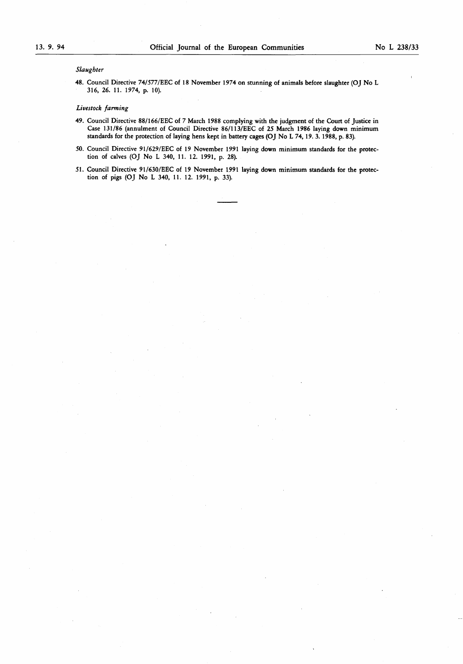# Slaughter

48. Council Directive 74/577/EEC of 18 November 1974 on stunning of animals before slaughter (OJ No L 316, 26. 11. 1974, p. 10).

# Livestock farming

- 49. Council Directive 88/166/EEC of 7 March 1988 complying with the judgment of the Court of Justice in Case <sup>131</sup> /86 (annulment of Council Directive 86/113/EEC of 25 March 1986 laying down minimum standards for the protection of laying hens kept in battery cages (OJ No L 74, 19. 3. 1988, p. 83).
- 50. Council Directive 91/629/EEC of 19 November 1991 laying down minimum standards for the protection of calves (OJ No L 340, 11. 12. 1991, p. 28).
- 51. Council Directive 91/630/EEC of 19 November 1991 laying down minimum standards for the protection of pigs (OJ No L 340, 11. 12. 1991, p. 33).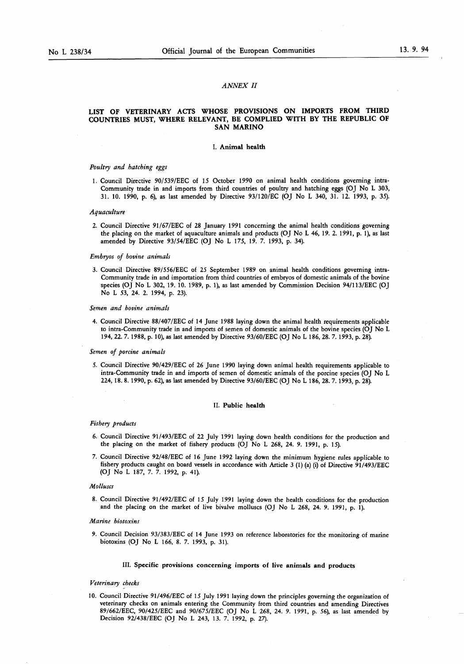# ANNEX II

# LIST OF VETERINARY ACTS WHOSE PROVISIONS ON IMPORTS FROM THIRD COUNTRIES MUST, WHERE RELEVANT, BE COMPLIED WITH BY THE REPUBLIC OF SAN MARINO

# I. Animal health

# Poultry and hatching eggs

<sup>1</sup> . Council Directive 90/539/EEC of 15 October 1990 on animal health conditions governing intra-Community trade in and imports from third countries of poultry and hatching eggs (OJ No L 303, <sup>31</sup> . 10. 1990, p. 6), as last amended by Directive 93/120/EC (OJ No L 340, 31.12. 1993, p. 35).

#### Aquaculture

2. Council Directive 91/67/EEC of 28 January 1991 concerning the animal health conditions governing the placing on the market of aquaculture animals and products (OJ No L 46, 19. 2. 1991, p. 1), as last amended by Directive 93/54/EEC (OJ No <sup>L</sup> 175, <sup>19</sup> . 7. 1993, p. 34).

# Embryos of bovine animals

3 . Council Directive 89/556/EEC of 25 September 1989 on animal health conditions governing intra-Community trade in and importation from third countries of embryos of domestic animals of the bovine species (OJ No L 302, 19. 10. 1989, p. <sup>1</sup> ), as last amended by Commission Decision 94/113/EEC (OJ No L 53, 24. 2. 1994, p. 23).

# Semen and bovine animals

4. Council Directive 88/407/EEC of <sup>14</sup> June 1988 laying down the animal health requirements applicable to intra-Community trade in and imports of semen of domestic animals of the bovine species (OJ No L 194, 22. 7. 1988, p. 10), as last amended by Directive 93/60/EEC (OJ No <sup>L</sup> 186, 28. 7. 1993, p. 28).

# Semen of porcine animals

5. Council Directive 90/429/EEC of 26 June 1990 laying down animal health requirements applicable to intra-Community trade in and imports of semen of domestic animals of the porcine species (OJ No L 224, 18 . <sup>8</sup> . 1990, p. 62), as last amended by Directive 93/60/EEC (OJ No L 186, 28. 7. 1993, p. 28).

#### II. Public health

#### Fishery products

- 6. Council Directive 91 /493/EEC of 22 July 1991 laying down health conditions for the production and the placing on the market of fishery products (OJ No L 268, 24. 9. 1991, p. 15).
- 7. Council Directive 92/48/EEC of 16 June 1992 laying down the minimum hygiene rules applicable to fishery products caught on board vessels in accordance with Article 3 (1) (a) (i) of Directive 91/493/EEC (OJ No L 187, 7. 7. 1992, p. 41 ).

# Molluscs

<sup>8</sup> . Council Directive <sup>91</sup> /492/EEC of 15 July 1991 laying down the health conditions for the production and the placing on the market of live bivalve molluscs (OJ No L 268, 24. 9. 1991, p. 1).

### Marine biotoxins

9. Council Decision 93/383/EEC of 14 June 1993 on reference laboratories for the monitoring of marine biotoxins (OJ No L 166, 8. 7. 1993, p. 31).

# III. Specific provisions concerning imports of live animals and products

# Veterinary checks

<sup>10</sup> . Council Directive <sup>91</sup> /496/EEC of 15 July 1991 laying down the principles governing the organization of veterinary checks on animals entering the Community from third countries and amending Directives 89/662/EEC, 90/425/EEC and 90/675/EEC (OJ No L 268, 24. 9. 1991 , p. 56), as last amended by Decision 92/438/EEC (OJ No L 243, 13. 7. 1992, p. 27).